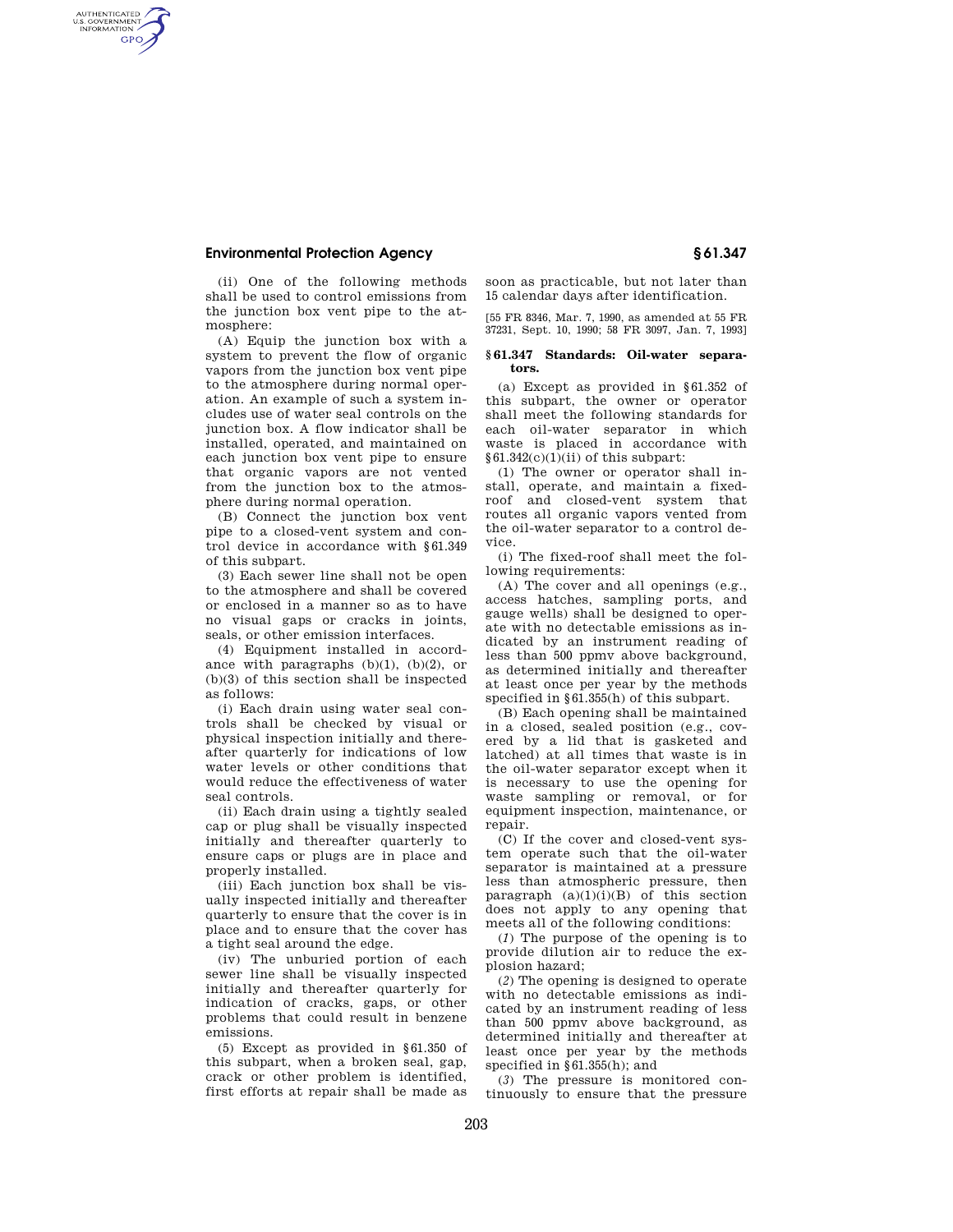## **Environmental Protection Agency § 61.347**

AUTHENTICATED<br>U.S. GOVERNMENT<br>INFORMATION **GPO** 

> (ii) One of the following methods shall be used to control emissions from the junction box vent pipe to the atmosphere:

> (A) Equip the junction box with a system to prevent the flow of organic vapors from the junction box vent pipe to the atmosphere during normal operation. An example of such a system includes use of water seal controls on the junction box. A flow indicator shall be installed, operated, and maintained on each junction box vent pipe to ensure that organic vapors are not vented from the junction box to the atmosphere during normal operation.

> (B) Connect the junction box vent pipe to a closed-vent system and control device in accordance with §61.349 of this subpart.

> (3) Each sewer line shall not be open to the atmosphere and shall be covered or enclosed in a manner so as to have no visual gaps or cracks in joints, seals, or other emission interfaces.

> (4) Equipment installed in accordance with paragraphs  $(b)(1)$ ,  $(b)(2)$ , or (b)(3) of this section shall be inspected as follows:

> (i) Each drain using water seal controls shall be checked by visual or physical inspection initially and thereafter quarterly for indications of low water levels or other conditions that would reduce the effectiveness of water seal controls.

> (ii) Each drain using a tightly sealed cap or plug shall be visually inspected initially and thereafter quarterly to ensure caps or plugs are in place and properly installed.

> (iii) Each junction box shall be visually inspected initially and thereafter quarterly to ensure that the cover is in place and to ensure that the cover has a tight seal around the edge.

> (iv) The unburied portion of each sewer line shall be visually inspected initially and thereafter quarterly for indication of cracks, gaps, or other problems that could result in benzene emissions.

> (5) Except as provided in §61.350 of this subpart, when a broken seal, gap, crack or other problem is identified, first efforts at repair shall be made as

soon as practicable, but not later than 15 calendar days after identification.

[55 FR 8346, Mar. 7, 1990, as amended at 55 FR 37231, Sept. 10, 1990; 58 FR 3097, Jan. 7, 1993]

## **§ 61.347 Standards: Oil-water separators.**

(a) Except as provided in §61.352 of this subpart, the owner or operator shall meet the following standards for each oil-water separator in which waste is placed in accordance with  $§61.342(c)(1)(ii)$  of this subpart:

(1) The owner or operator shall install, operate, and maintain a fixedroof and closed-vent system that routes all organic vapors vented from the oil-water separator to a control device.

(i) The fixed-roof shall meet the following requirements:

(A) The cover and all openings (e.g., access hatches, sampling ports, and gauge wells) shall be designed to operate with no detectable emissions as indicated by an instrument reading of less than 500 ppmv above background, as determined initially and thereafter at least once per year by the methods specified in §61.355(h) of this subpart.

(B) Each opening shall be maintained in a closed, sealed position (e.g., covered by a lid that is gasketed and latched) at all times that waste is in the oil-water separator except when it is necessary to use the opening for waste sampling or removal, or for equipment inspection, maintenance, or repair.

(C) If the cover and closed-vent system operate such that the oil-water separator is maintained at a pressure less than atmospheric pressure, then paragraph  $(a)(1)(i)(B)$  of this section does not apply to any opening that meets all of the following conditions:

(*1*) The purpose of the opening is to provide dilution air to reduce the explosion hazard;

(*2*) The opening is designed to operate with no detectable emissions as indicated by an instrument reading of less than 500 ppmv above background, as determined initially and thereafter at least once per year by the methods specified in §61.355(h); and

(*3*) The pressure is monitored continuously to ensure that the pressure